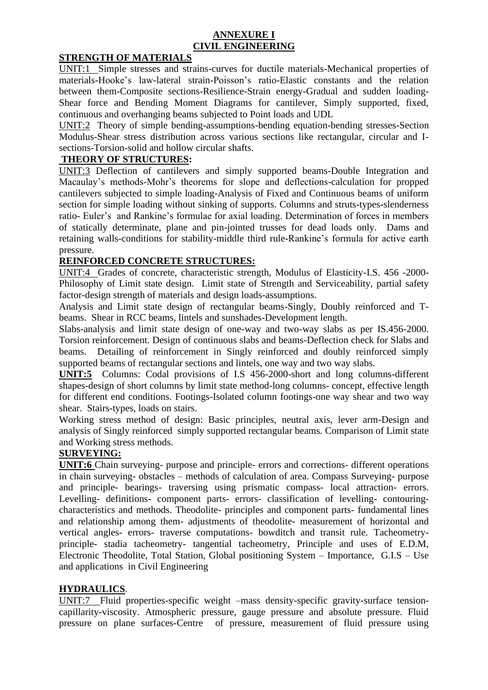## **ANNEXURE I CIVIL ENGINEERING**

# **STRENGTH OF MATERIALS**

UNIT:1 Simple stresses and strains-curves for ductile materials-Mechanical properties of materials-Hooke's law-lateral strain-Poisson's ratio-Elastic constants and the relation between them-Composite sections-Resilience-Strain energy-Gradual and sudden loading-Shear force and Bending Moment Diagrams for cantilever, Simply supported, fixed, continuous and overhanging beams subjected to Point loads and UDL

UNIT:2 Theory of simple bending-assumptions-bending equation-bending stresses-Section Modulus-Shear stress distribution across various sections like rectangular, circular and Isections-Torsion-solid and hollow circular shafts.

## **THEORY OF STRUCTURES:**

UNIT:3 Deflection of cantilevers and simply supported beams-Double Integration and Macaulay's methods-Mohr's theorems for slope and deflections-calculation for propped cantilevers subjected to simple loading-Analysis of Fixed and Continuous beams of uniform section for simple loading without sinking of supports. Columns and struts-types-slenderness ratio- Euler's and Rankine's formulae for axial loading. Determination of forces in members of statically determinate, plane and pin-jointed trusses for dead loads only. Dams and retaining walls-conditions for stability-middle third rule-Rankine's formula for active earth pressure.

# **REINFORCED CONCRETE STRUCTURES:**

UNIT:4 Grades of concrete, characteristic strength, Modulus of Elasticity-I.S. 456 -2000- Philosophy of Limit state design. Limit state of Strength and Serviceability, partial safety factor-design strength of materials and design loads-assumptions.

Analysis and Limit state design of rectangular beams-Singly, Doubly reinforced and Tbeams. Shear in RCC beams, lintels and sunshades-Development length.

Slabs-analysis and limit state design of one-way and two-way slabs as per IS.456-2000. Torsion reinforcement. Design of continuous slabs and beams-Deflection check for Slabs and beams. Detailing of reinforcement in Singly reinforced and doubly reinforced simply supported beams of rectangular sections and lintels, one way and two way slabs.

**UNIT:5** Columns: Codal provisions of I.S 456-2000-short and long columns-different shapes-design of short columns by limit state method-long columns- concept, effective length for different end conditions. Footings-Isolated column footings-one way shear and two way shear. Stairs-types, loads on stairs.

Working stress method of design: Basic principles, neutral axis, lever arm-Design and analysis of Singly reinforced simply supported rectangular beams. Comparison of Limit state and Working stress methods.

# **SURVEYING:**

**UNIT:6** Chain surveying- purpose and principle- errors and corrections- different operations in chain surveying- obstacles – methods of calculation of area. Compass Surveying- purpose and principle- bearings- traversing using prismatic compass- local attraction- errors. Levelling- definitions- component parts- errors- classification of levelling- contouringcharacteristics and methods. Theodolite- principles and component parts- fundamental lines and relationship among them- adjustments of theodolite- measurement of horizontal and vertical angles- errors- traverse computations- bowditch and transit rule. Tacheometryprinciple- stadia tacheometry- tangential tacheometry, Principle and uses of E.D.M, Electronic Theodolite, Total Station, Global positioning System – Importance, G.I.S – Use and applications in Civil Engineering

# **HYDRAULICS**.

UNIT:7 Fluid properties-specific weight –mass density-specific gravity-surface tensioncapillarity-viscosity. Atmospheric pressure, gauge pressure and absolute pressure. Fluid pressure on plane surfaces-Centre of pressure, measurement of fluid pressure using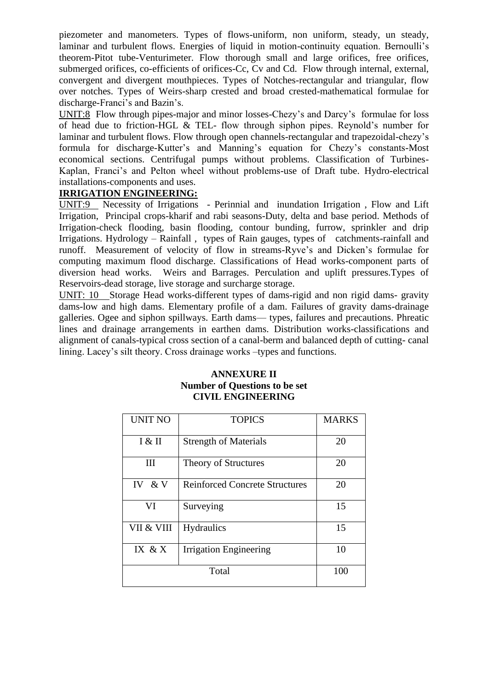piezometer and manometers. Types of flows-uniform, non uniform, steady, un steady, laminar and turbulent flows. Energies of liquid in motion-continuity equation. Bernoulli's theorem-Pitot tube-Venturimeter. Flow thorough small and large orifices, free orifices, submerged orifices, co-efficients of orifices-Cc, Cv and Cd. Flow through internal, external, convergent and divergent mouthpieces. Types of Notches-rectangular and triangular, flow over notches. Types of Weirs-sharp crested and broad crested-mathematical formulae for discharge-Franci's and Bazin's.

UNIT:8 Flow through pipes-major and minor losses-Chezy's and Darcy's formulae for loss of head due to friction-HGL & TEL- flow through siphon pipes. Reynold's number for laminar and turbulent flows. Flow through open channels-rectangular and trapezoidal-chezy's formula for discharge-Kutter's and Manning's equation for Chezy's constants-Most economical sections. Centrifugal pumps without problems. Classification of Turbines-Kaplan, Franci's and Pelton wheel without problems-use of Draft tube. Hydro-electrical installations-components and uses.

## **IRRIGATION ENGINEERING:**

UNIT:9 Necessity of Irrigations - Perinnial and inundation Irrigation , Flow and Lift Irrigation, Principal crops-kharif and rabi seasons-Duty, delta and base period. Methods of Irrigation-check flooding, basin flooding, contour bunding, furrow, sprinkler and drip Irrigations. Hydrology – Rainfall , types of Rain gauges, types of catchments-rainfall and runoff. Measurement of velocity of flow in streams-Ryve's and Dicken's formulae for computing maximum flood discharge. Classifications of Head works-component parts of diversion head works. Weirs and Barrages. Perculation and uplift pressures.Types of Reservoirs-dead storage, live storage and surcharge storage.

UNIT: 10 Storage Head works-different types of dams-rigid and non rigid dams- gravity dams-low and high dams. Elementary profile of a dam. Failures of gravity dams-drainage galleries. Ogee and siphon spillways. Earth dams— types, failures and precautions. Phreatic lines and drainage arrangements in earthen dams. Distribution works-classifications and alignment of canals-typical cross section of a canal-berm and balanced depth of cutting- canal lining. Lacey's silt theory. Cross drainage works –types and functions.

## **ANNEXURE II Number of Questions to be set CIVIL ENGINEERING**

| <b>UNIT NO</b> | <b>TOPICS</b>                         | <b>MARKS</b> |
|----------------|---------------------------------------|--------------|
| I & H          | <b>Strength of Materials</b>          | 20           |
| Ш              | Theory of Structures                  | 20           |
| IV & V         | <b>Reinforced Concrete Structures</b> | 20           |
| VI             | Surveying                             | 15           |
| VII & VIII     | <b>Hydraulics</b>                     | 15           |
| IX & X         | Irrigation Engineering                | 10           |
| Total          |                                       | 100          |